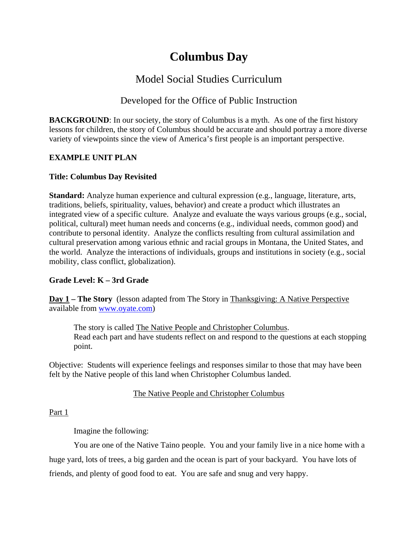# **Columbus Day**

## Model Social Studies Curriculum

## Developed for the Office of Public Instruction

**BACKGROUND:** In our society, the story of Columbus is a myth. As one of the first history lessons for children, the story of Columbus should be accurate and should portray a more diverse variety of viewpoints since the view of America's first people is an important perspective.

## **EXAMPLE UNIT PLAN**

## **Title: Columbus Day Revisited**

**Standard:** Analyze human experience and cultural expression (e.g., language, literature, arts, traditions, beliefs, spirituality, values, behavior) and create a product which illustrates an integrated view of a specific culture. Analyze and evaluate the ways various groups (e.g., social, political, cultural) meet human needs and concerns (e.g., individual needs, common good) and contribute to personal identity. Analyze the conflicts resulting from cultural assimilation and cultural preservation among various ethnic and racial groups in Montana, the United States, and the world. Analyze the interactions of individuals, groups and institutions in society (e.g., social mobility, class conflict, globalization).

## **Grade Level: K – 3rd Grade**

**Day 1 – The Story** (lesson adapted from The Story in Thanksgiving: A Native Perspective available from [www.oyate.com](http://www.oyate.com/))

 The story is called The Native People and Christopher Columbus. Read each part and have students reflect on and respond to the questions at each stopping point.

Objective: Students will experience feelings and responses similar to those that may have been felt by the Native people of this land when Christopher Columbus landed.

## The Native People and Christopher Columbus

Part 1

Imagine the following:

You are one of the Native Taino people. You and your family live in a nice home with a huge yard, lots of trees, a big garden and the ocean is part of your backyard. You have lots of friends, and plenty of good food to eat. You are safe and snug and very happy.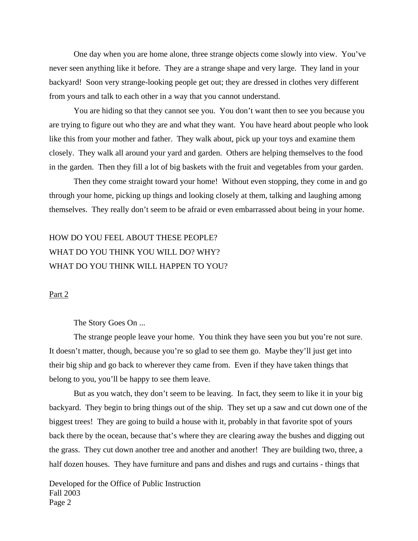One day when you are home alone, three strange objects come slowly into view. You've never seen anything like it before. They are a strange shape and very large. They land in your backyard! Soon very strange-looking people get out; they are dressed in clothes very different from yours and talk to each other in a way that you cannot understand.

You are hiding so that they cannot see you. You don't want then to see you because you are trying to figure out who they are and what they want. You have heard about people who look like this from your mother and father. They walk about, pick up your toys and examine them closely. They walk all around your yard and garden. Others are helping themselves to the food in the garden. Then they fill a lot of big baskets with the fruit and vegetables from your garden.

 Then they come straight toward your home! Without even stopping, they come in and go through your home, picking up things and looking closely at them, talking and laughing among themselves. They really don't seem to be afraid or even embarrassed about being in your home.

## HOW DO YOU FEEL ABOUT THESE PEOPLE? WHAT DO YOU THINK YOU WILL DO? WHY? WHAT DO YOU THINK WILL HAPPEN TO YOU?

#### Part 2

#### The Story Goes On ...

 The strange people leave your home. You think they have seen you but you're not sure. It doesn't matter, though, because you're so glad to see them go. Maybe they'll just get into their big ship and go back to wherever they came from. Even if they have taken things that belong to you, you'll be happy to see them leave.

 But as you watch, they don't seem to be leaving. In fact, they seem to like it in your big backyard. They begin to bring things out of the ship. They set up a saw and cut down one of the biggest trees! They are going to build a house with it, probably in that favorite spot of yours back there by the ocean, because that's where they are clearing away the bushes and digging out the grass. They cut down another tree and another and another! They are building two, three, a half dozen houses. They have furniture and pans and dishes and rugs and curtains - things that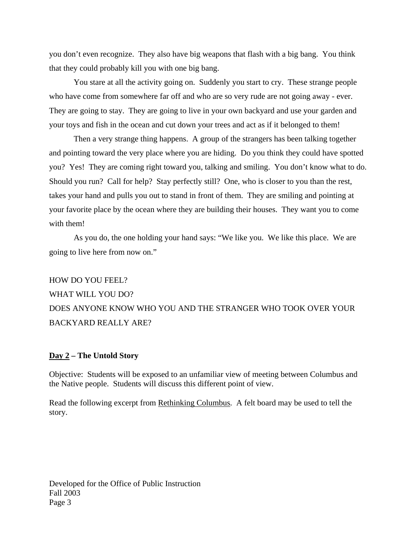you don't even recognize. They also have big weapons that flash with a big bang. You think that they could probably kill you with one big bang.

 You stare at all the activity going on. Suddenly you start to cry. These strange people who have come from somewhere far off and who are so very rude are not going away - ever. They are going to stay. They are going to live in your own backyard and use your garden and your toys and fish in the ocean and cut down your trees and act as if it belonged to them!

 Then a very strange thing happens. A group of the strangers has been talking together and pointing toward the very place where you are hiding. Do you think they could have spotted you? Yes! They are coming right toward you, talking and smiling. You don't know what to do. Should you run? Call for help? Stay perfectly still? One, who is closer to you than the rest, takes your hand and pulls you out to stand in front of them. They are smiling and pointing at your favorite place by the ocean where they are building their houses. They want you to come with them!

 As you do, the one holding your hand says: "We like you. We like this place. We are going to live here from now on."

## HOW DO YOU FEEL? WHAT WILL YOU DO? DOES ANYONE KNOW WHO YOU AND THE STRANGER WHO TOOK OVER YOUR BACKYARD REALLY ARE?

#### **Day 2 – The Untold Story**

Objective: Students will be exposed to an unfamiliar view of meeting between Columbus and the Native people. Students will discuss this different point of view.

Read the following excerpt from Rethinking Columbus. A felt board may be used to tell the story.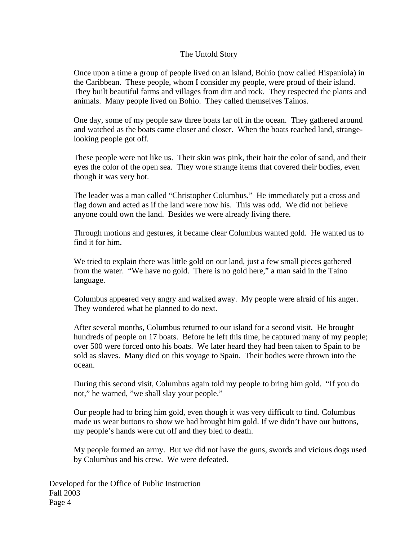### The Untold Story

Once upon a time a group of people lived on an island, Bohio (now called Hispaniola) in the Caribbean. These people, whom I consider my people, were proud of their island. They built beautiful farms and villages from dirt and rock. They respected the plants and animals. Many people lived on Bohio. They called themselves Tainos.

One day, some of my people saw three boats far off in the ocean. They gathered around and watched as the boats came closer and closer. When the boats reached land, strangelooking people got off.

These people were not like us. Their skin was pink, their hair the color of sand, and their eyes the color of the open sea. They wore strange items that covered their bodies, even though it was very hot.

The leader was a man called "Christopher Columbus." He immediately put a cross and flag down and acted as if the land were now his. This was odd. We did not believe anyone could own the land. Besides we were already living there.

Through motions and gestures, it became clear Columbus wanted gold. He wanted us to find it for him.

We tried to explain there was little gold on our land, just a few small pieces gathered from the water. "We have no gold. There is no gold here," a man said in the Taino language.

Columbus appeared very angry and walked away. My people were afraid of his anger. They wondered what he planned to do next.

After several months, Columbus returned to our island for a second visit. He brought hundreds of people on 17 boats. Before he left this time, he captured many of my people; over 500 were forced onto his boats. We later heard they had been taken to Spain to be sold as slaves. Many died on this voyage to Spain. Their bodies were thrown into the ocean.

During this second visit, Columbus again told my people to bring him gold. "If you do not," he warned, "we shall slay your people."

Our people had to bring him gold, even though it was very difficult to find. Columbus made us wear buttons to show we had brought him gold. If we didn't have our buttons, my people's hands were cut off and they bled to death.

My people formed an army. But we did not have the guns, swords and vicious dogs used by Columbus and his crew. We were defeated.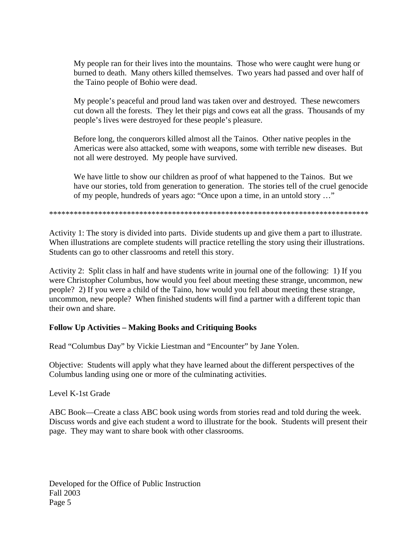My people ran for their lives into the mountains. Those who were caught were hung or burned to death. Many others killed themselves. Two years had passed and over half of the Taino people of Bohio were dead.

My people's peaceful and proud land was taken over and destroyed. These newcomers cut down all the forests. They let their pigs and cows eat all the grass. Thousands of my people's lives were destroyed for these people's pleasure.

Before long, the conquerors killed almost all the Tainos. Other native peoples in the Americas were also attacked, some with weapons, some with terrible new diseases. But not all were destroyed. My people have survived.

We have little to show our children as proof of what happened to the Tainos. But we have our stories, told from generation to generation. The stories tell of the cruel genocide of my people, hundreds of years ago: "Once upon a time, in an untold story …"

\*\*\*\*\*\*\*\*\*\*\*\*\*\*\*\*\*\*\*\*\*\*\*\*\*\*\*\*\*\*\*\*\*\*\*\*\*\*\*\*\*\*\*\*\*\*\*\*\*\*\*\*\*\*\*\*\*\*\*\*\*\*\*\*\*\*\*\*\*\*\*\*\*\*\*\*\*\*

Activity 1: The story is divided into parts. Divide students up and give them a part to illustrate. When illustrations are complete students will practice retelling the story using their illustrations. Students can go to other classrooms and retell this story.

Activity 2: Split class in half and have students write in journal one of the following: 1) If you were Christopher Columbus, how would you feel about meeting these strange, uncommon, new people? 2) If you were a child of the Taino, how would you fell about meeting these strange, uncommon, new people? When finished students will find a partner with a different topic than their own and share.

## **Follow Up Activities – Making Books and Critiquing Books**

Read "Columbus Day" by Vickie Liestman and "Encounter" by Jane Yolen.

Objective: Students will apply what they have learned about the different perspectives of the Columbus landing using one or more of the culminating activities.

Level K-1st Grade

ABC Book—Create a class ABC book using words from stories read and told during the week. Discuss words and give each student a word to illustrate for the book. Students will present their page. They may want to share book with other classrooms.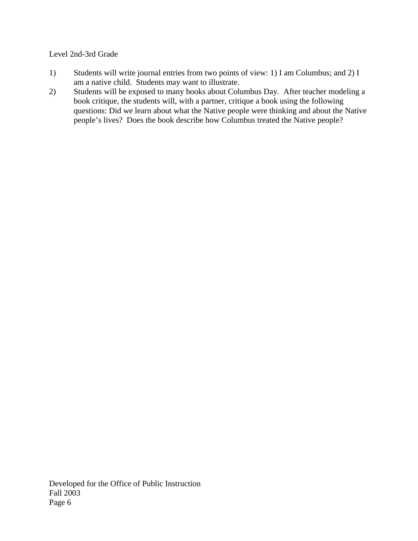## Level 2nd-3rd Grade

- 1) Students will write journal entries from two points of view: 1) I am Columbus; and 2) I am a native child. Students may want to illustrate.
- 2) Students will be exposed to many books about Columbus Day. After teacher modeling a book critique, the students will, with a partner, critique a book using the following questions: Did we learn about what the Native people were thinking and about the Native people's lives? Does the book describe how Columbus treated the Native people?